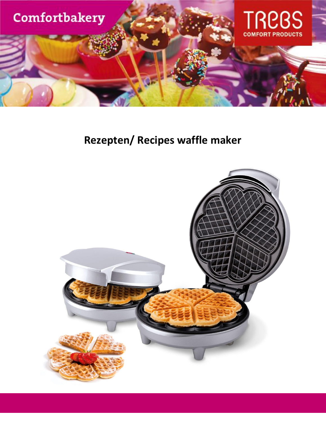

# **Rezepten/ Recipes waffle maker**

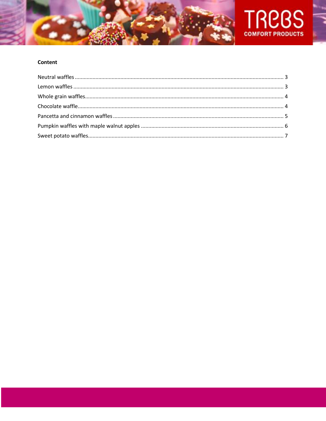



# Content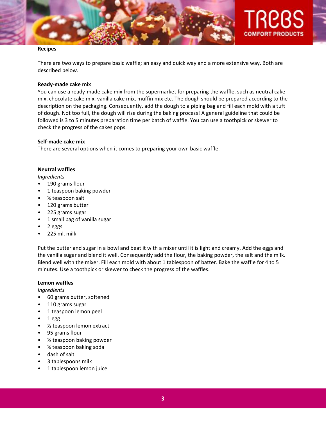

#### **Recipes**

There are two ways to prepare basic waffle; an easy and quick way and a more extensive way. Both are described below.

# **Ready-made cake mix**

You can use a ready-made cake mix from the supermarket for preparing the waffle, such as neutral cake mix, chocolate cake mix, vanilla cake mix, muffin mix etc. The dough should be prepared according to the description on the packaging. Consequently, add the dough to a piping bag and fill each mold with a tuft of dough. Not too full, the dough will rise during the baking process! A general guideline that could be followed is 3 to 5 minutes preparation time per batch of waffle. You can use a toothpick or skewer to check the progress of the cakes pops.

# **Self-made cake mix**

There are several options when it comes to preparing your own basic waffle.

# <span id="page-2-0"></span>**Neutral waffles**

### *Ingredients*

- 190 grams flour
- 1 teaspoon baking powder
- ¼ teaspoon salt
- 120 grams butter
- 225 grams sugar
- 1 small bag of vanilla sugar
- 2 eggs
- 225 ml. milk

Put the butter and sugar in a bowl and beat it with a mixer until it is light and creamy. Add the eggs and the vanilla sugar and blend it well. Consequently add the flour, the baking powder, the salt and the milk. Blend well with the mixer. Fill each mold with about 1 tablespoon of batter. Bake the waffle for 4 to 5 minutes. Use a toothpick or skewer to check the progress of the waffles.

### <span id="page-2-1"></span>**Lemon waffles**

*Ingredients*

- 60 grams butter, softened
- 110 grams sugar
- 1 teaspoon lemon peel
- 1 egg
- ½ teaspoon lemon extract
- 95 grams flour
- ½ teaspoon baking powder
- ¼ teaspoon baking soda
- dash of salt
- 3 tablespoons milk
- 1 tablespoon lemon juice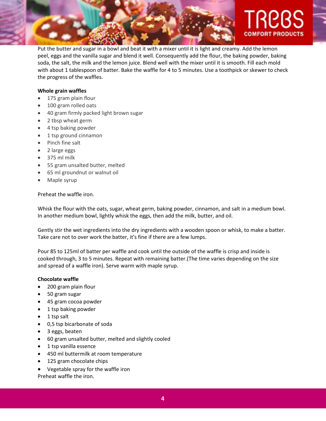

Put the butter and sugar in a bowl and beat it with a mixer until it is light and creamy. Add the lemon peel, eggs and the vanilla sugar and blend it well. Consequently add the flour, the baking powder, baking soda, the salt, the milk and the lemon juice. Blend well with the mixer until it is smooth. Fill each mold with about 1 tablespoon of batter. Bake the waffle for 4 to 5 minutes. Use a toothpick or skewer to check the progress of the waffles.

# <span id="page-3-0"></span>**Whole grain waffles**

- 175 gram plain flour
- 100 gram rolled oats
- 40 gram firmly packed light brown sugar
- 2 tbsp wheat germ
- 4 tsp baking powder
- 1 tsp ground cinnamon
- Pinch fine salt
- 2 large eggs
- 375 ml milk
- 55 gram unsalted butter, melted
- 65 ml groundnut or walnut oil
- Maple syrup

# Preheat the waffle iron.

Whisk the flour with the oats, sugar, wheat germ, baking powder, cinnamon, and salt in a medium bowl. In another medium bowl, lightly whisk the eggs, then add the milk, butter, and oil.

Gently stir the wet ingredients into the dry ingredients with a wooden spoon or whisk, to make a batter. Take care not to over work the batter, it's fine if there are a few lumps.

Pour 85 to 125ml of batter per waffle and cook until the outside of the waffle is crisp and inside is cooked through, 3 to 5 minutes. Repeat with remaining batter.(The time varies depending on the size and spread of a waffle iron). Serve warm with maple syrup.

# <span id="page-3-1"></span>**Chocolate waffle**

- 200 gram plain flour
- 50 gram sugar
- 45 gram cocoa powder
- 1 tsp baking powder
- $\bullet$  1 tsp salt
- 0,5 tsp bicarbonate of soda
- 3 eggs, beaten
- 60 gram unsalted butter, melted and slightly cooled
- 1 tsp vanilla essence
- 450 ml buttermilk at room temperature
- 125 gram chocolate chips
- Vegetable spray for the waffle iron

Preheat waffle the iron.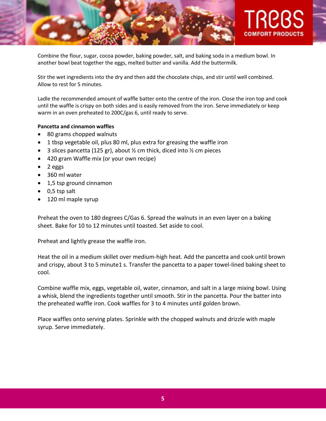

Combine the flour, sugar, cocoa powder, baking powder, salt, and baking soda in a medium bowl. In another bowl beat together the eggs, melted butter and vanilla. Add the buttermilk.

Stir the wet ingredients into the dry and then add the chocolate chips, and stir until well combined. Allow to rest for 5 minutes.

Ladle the recommended amount of waffle batter onto the centre of the iron. Close the iron top and cook until the waffle is crispy on both sides and is easily removed from the iron. Serve immediately or keep warm in an oven preheated to 200C/gas 6, until ready to serve.

# <span id="page-4-0"></span>**Pancetta and cinnamon waffles**

- 80 grams chopped walnuts
- 1 tbsp vegetable oil, plus 80 ml, plus extra for greasing the waffle iron
- 3 slices pancetta (125 gr), about  $\frac{1}{2}$  cm thick, diced into  $\frac{1}{2}$  cm pieces
- 420 gram Waffle mix (or your own recipe)
- $\bullet$  2 eggs
- 360 ml water
- 1,5 tsp ground cinnamon
- $\bullet$  0,5 tsp salt
- 120 ml maple syrup

Preheat the oven to 180 degrees C/Gas 6. Spread the walnuts in an even layer on a baking sheet. Bake for 10 to 12 minutes until toasted. Set aside to cool.

Preheat and lightly grease the waffle iron.

Heat the oil in a medium skillet over medium-high heat. Add the pancetta and cook until brown and crispy, about 3 to 5 minute1 s. Transfer the pancetta to a paper towel-lined baking sheet to cool.

Combine waffle mix, eggs, vegetable oil, water, cinnamon, and salt in a large mixing bowl. Using a whisk, blend the ingredients together until smooth. Stir in the pancetta. Pour the batter into the preheated waffle iron. Cook waffles for 3 to 4 minutes until golden brown.

Place waffles onto serving plates. Sprinkle with the chopped walnuts and drizzle with maple syrup. Serve immediately.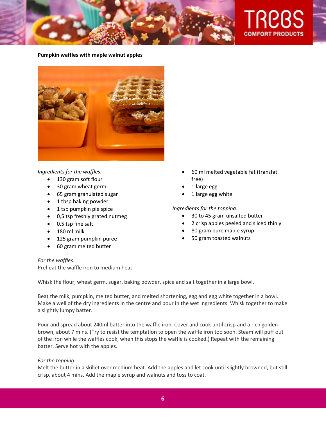

# COMFORT PRODUCTS

## <span id="page-5-0"></span>**Pumpkin waffles with maple walnut apples**



# *Ingredients for the waffles:*

- 130 gram soft flour
- 30 gram wheat germ
- 65 gram granulated sugar
- 1 tbsp baking powder
- 1 tsp pumpkin pie spice
- 0,5 tsp freshly grated nutmeg
- 0,5 tsp fine salt
- $-180$  ml milk
- 125 gram pumpkin puree
- 60 gram melted butter
- 60 ml melted vegetable fat (transfat free)
- 1 large egg
- 1 large egg white

# *Ingredients for the topping:*

- 30 to 45 gram unsalted butter
- 2 crisp apples peeled and sliced thinly
- 80 gram pure maple syrup
- 50 gram toasted walnuts

# *For the waffles:*

Preheat the waffle iron to medium heat.

Whisk the flour, wheat germ, sugar, baking powder, spice and salt together in a large bowl.

Beat the milk, pumpkin, melted butter, and melted shortening, egg and egg white together in a bowl. Make a well of the dry ingredients in the centre and pour in the wet ingredients. Whisk together to make a slightly lumpy batter.

Pour and spread about 240ml batter into the waffle iron. Cover and cook until crisp and a rich golden brown, about 7 mins. (Try to resist the temptation to open the waffle iron too soon. Steam will puff out of the iron while the waffles cook, when this stops the waffle is cooked.) Repeat with the remaining batter. Serve hot with the apples.

# *For the topping:*

Melt the butter in a skillet over medium heat. Add the apples and let cook until slightly browned, but still crisp, about 4 mins. Add the maple syrup and walnuts and toss to coat.